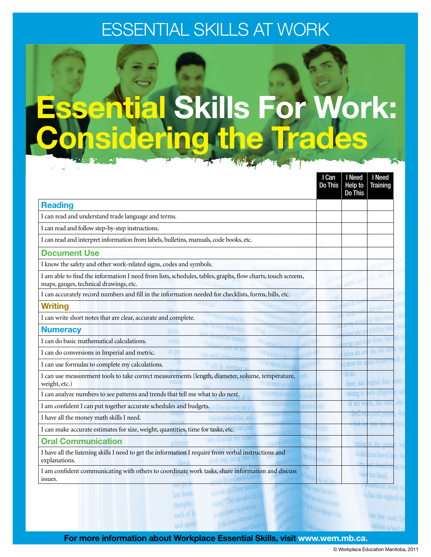# Essential Skills at WORK



|                                                                                                                                                       | I Can<br><b>Do This</b> | I Need<br>Help to<br><b>Do This</b> | I Need<br><b>Training</b> |
|-------------------------------------------------------------------------------------------------------------------------------------------------------|-------------------------|-------------------------------------|---------------------------|
| <b>Reading</b>                                                                                                                                        |                         |                                     |                           |
| I can read and understand trade language and terms.                                                                                                   |                         |                                     |                           |
| I can read and follow step-by-step instructions.                                                                                                      |                         |                                     |                           |
| I can read and interpret information from labels, bulletins, manuals, code books, etc.                                                                |                         |                                     |                           |
| <b>Document Use</b>                                                                                                                                   |                         |                                     |                           |
| I know the safety and other work-related signs, codes and symbols.                                                                                    |                         |                                     |                           |
| I am able to find the information I need from lists, schedules, tables, graphs, flow charts, touch screens,<br>maps, gauges, technical drawings, etc. |                         |                                     |                           |
| I can accurately record numbers and fill in the information needed for checklists, forms, bills, etc.                                                 |                         |                                     |                           |
| <b>Writing</b>                                                                                                                                        |                         |                                     |                           |
| I can write short notes that are clear, accurate and complete.                                                                                        |                         |                                     |                           |
| <b>Numeracy</b>                                                                                                                                       |                         |                                     |                           |
| I can do basic mathematical calculations.                                                                                                             |                         | urage and                           |                           |
| I can do conversions in Imperial and metric.                                                                                                          |                         | before she                          |                           |
| I can use formulas to complete my calculations.                                                                                                       |                         | at terror she                       |                           |
| I can use measurement tools to take correct measurements (length, diameter, volume, temperature,<br>weight, etc.)                                     |                         | her sin<br>house, and               |                           |
| I can analyze numbers to see patterns and trends that tell me what to do next.                                                                        |                         | romising to                         |                           |
| I am confident I can put together accurate schedules and budgets.<br>way, out in t                                                                    |                         | for any                             |                           |
| ed her, and<br>I have all the money math skills I need.                                                                                               |                         | ) (IWCI                             |                           |
| I can make accurate estimates for size, weight, quantities, time for tasks, etc.                                                                      |                         |                                     |                           |
| <b>Oral Communication</b>                                                                                                                             |                         |                                     |                           |
| I have all the listening skills I need to get the information I require from verbal instructions and<br>explanations.                                 |                         |                                     |                           |
| I am confident communicating with others to coordinate work tasks, share information and discuss<br>issues.                                           |                         |                                     |                           |

For more information about Workplace Essential Skills, visit www.wem.mb.ca.

**Longhitt**